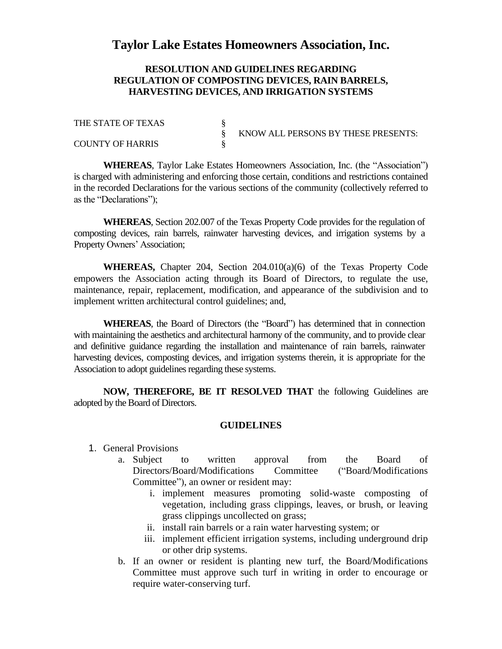## **Taylor Lake Estates Homeowners Association, Inc.**

## **RESOLUTION AND GUIDELINES REGARDING REGULATION OF COMPOSTING DEVICES, RAIN BARRELS, HARVESTING DEVICES, AND IRRIGATION SYSTEMS**

| THE STATE OF TEXAS      |                                     |
|-------------------------|-------------------------------------|
|                         | KNOW ALL PERSONS BY THESE PRESENTS: |
| <b>COUNTY OF HARRIS</b> |                                     |

**WHEREAS**, Taylor Lake Estates Homeowners Association, Inc. (the "Association") is charged with administering and enforcing those certain, conditions and restrictions contained in the recorded Declarations for the various sections of the community (collectively referred to as the "Declarations");

**WHEREAS**, Section 202.007 of the Texas Property Code provides for the regulation of composting devices, rain barrels, rainwater harvesting devices, and irrigation systems by a Property Owners' Association;

**WHEREAS,** Chapter 204, Section 204.010(a)(6) of the Texas Property Code empowers the Association acting through its Board of Directors, to regulate the use, maintenance, repair, replacement, modification, and appearance of the subdivision and to implement written architectural control guidelines; and,

**WHEREAS**, the Board of Directors (the "Board") has determined that in connection with maintaining the aesthetics and architectural harmony of the community, and to provide clear and definitive guidance regarding the installation and maintenance of rain barrels, rainwater harvesting devices, composting devices, and irrigation systems therein, it is appropriate for the Association to adopt guidelines regarding these systems.

**NOW, THEREFORE, BE IT RESOLVED THAT** the following Guidelines are adopted by the Board of Directors.

## **GUIDELINES**

- 1. General Provisions
	- a. Subject to written approval from the Board of Directors/Board/Modifications Committee ("Board/Modifications Committee"), an owner or resident may:
		- i. implement measures promoting solid-waste composting of vegetation, including grass clippings, leaves, or brush, or leaving grass clippings uncollected on grass;
		- ii. install rain barrels or a rain water harvesting system; or
		- iii. implement efficient irrigation systems, including underground drip or other drip systems.
	- b. If an owner or resident is planting new turf, the Board/Modifications Committee must approve such turf in writing in order to encourage or require water-conserving turf.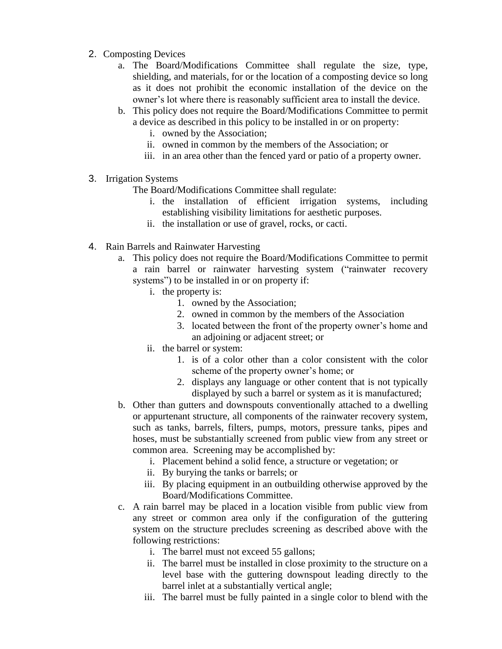- 2. Composting Devices
	- a. The Board/Modifications Committee shall regulate the size, type, shielding, and materials, for or the location of a composting device so long as it does not prohibit the economic installation of the device on the owner's lot where there is reasonably sufficient area to install the device.
	- b. This policy does not require the Board/Modifications Committee to permit a device as described in this policy to be installed in or on property:
		- i. owned by the Association;
		- ii. owned in common by the members of the Association; or
		- iii. in an area other than the fenced yard or patio of a property owner.
- 3. Irrigation Systems

The Board/Modifications Committee shall regulate:

- i. the installation of efficient irrigation systems, including establishing visibility limitations for aesthetic purposes.
- ii. the installation or use of gravel, rocks, or cacti.
- 4. Rain Barrels and Rainwater Harvesting
	- a. This policy does not require the Board/Modifications Committee to permit a rain barrel or rainwater harvesting system ("rainwater recovery systems") to be installed in or on property if:
		- i. the property is:
			- 1. owned by the Association;
			- 2. owned in common by the members of the Association
			- 3. located between the front of the property owner's home and an adjoining or adjacent street; or
		- ii. the barrel or system:
			- 1. is of a color other than a color consistent with the color scheme of the property owner's home; or
			- 2. displays any language or other content that is not typically displayed by such a barrel or system as it is manufactured;
	- b. Other than gutters and downspouts conventionally attached to a dwelling or appurtenant structure, all components of the rainwater recovery system, such as tanks, barrels, filters, pumps, motors, pressure tanks, pipes and hoses, must be substantially screened from public view from any street or common area. Screening may be accomplished by:
		- i. Placement behind a solid fence, a structure or vegetation; or
		- ii. By burying the tanks or barrels; or
		- iii. By placing equipment in an outbuilding otherwise approved by the Board/Modifications Committee.
	- c. A rain barrel may be placed in a location visible from public view from any street or common area only if the configuration of the guttering system on the structure precludes screening as described above with the following restrictions:
		- i. The barrel must not exceed 55 gallons;
		- ii. The barrel must be installed in close proximity to the structure on a level base with the guttering downspout leading directly to the barrel inlet at a substantially vertical angle;
		- iii. The barrel must be fully painted in a single color to blend with the